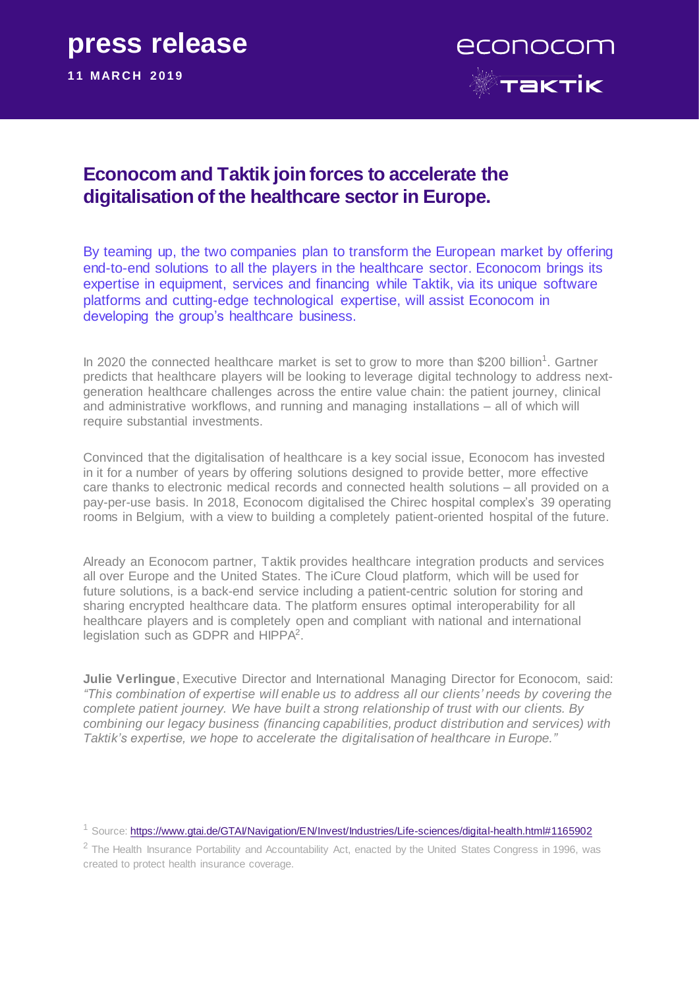# **press release**

**11 MAR C H 2019**



# **Econocom and Taktik join forces to accelerate the digitalisation of the healthcare sector in Europe.**

By teaming up, the two companies plan to transform the European market by offering end-to-end solutions to all the players in the healthcare sector. Econocom brings its expertise in equipment, services and financing while Taktik, via its unique software platforms and cutting-edge technological expertise, will assist Econocom in developing the group's healthcare business.

In 2020 the connected healthcare market is set to grow to more than \$200 billion<sup>1</sup>. Gartner predicts that healthcare players will be looking to leverage digital technology to address nextgeneration healthcare challenges across the entire value chain: the patient journey, clinical and administrative workflows, and running and managing installations – all of which will require substantial investments.

Convinced that the digitalisation of healthcare is a key social issue, Econocom has invested in it for a number of years by offering solutions designed to provide better, more effective care thanks to electronic medical records and connected health solutions – all provided on a pay-per-use basis. In 2018, Econocom digitalised the Chirec hospital complex's 39 operating rooms in Belgium, with a view to building a completely patient-oriented hospital of the future.

Already an Econocom partner, Taktik provides healthcare integration products and services all over Europe and the United States. The iCure Cloud platform, which will be used for future solutions, is a back-end service including a patient-centric solution for storing and sharing encrypted healthcare data. The platform ensures optimal interoperability for all healthcare players and is completely open and compliant with national and international legislation such as GDPR and HIPPA<sup>2</sup>.

**Julie Verlingue**, Executive Director and International Managing Director for Econocom, said: *"This combination of expertise will enable us to address all our clients' needs by covering the complete patient journey. We have built a strong relationship of trust with our clients. By combining our legacy business (financing capabilities, product distribution and services) with Taktik's expertise, we hope to accelerate the digitalisation of healthcare in Europe."*

<sup>1</sup> Source:<https://www.gtai.de/GTAI/Navigation/EN/Invest/Industries/Life-sciences/digital-health.html#1165902>

 $2$  The Health Insurance Portability and Accountability Act, enacted by the [United States Congress](https://en.wikipedia.org/wiki/United_States_Congress) in 1996, was created to protect [health insurance](https://en.wikipedia.org/wiki/Health_insurance_in_the_United_States) coverage.